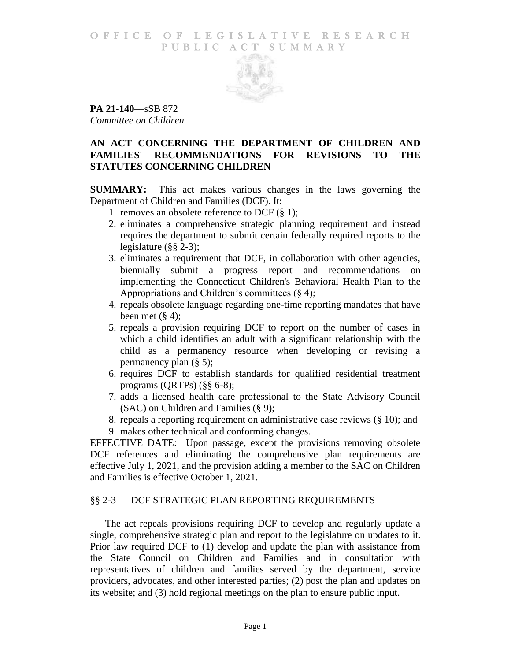### O F FICE OF LEGISLATIVE RESEARCH PUBLIC ACT SUMMARY



**PA 21-140**—sSB 872 *Committee on Children*

# **AN ACT CONCERNING THE DEPARTMENT OF CHILDREN AND FAMILIES' RECOMMENDATIONS FOR REVISIONS TO THE STATUTES CONCERNING CHILDREN**

**SUMMARY:** This act makes various changes in the laws governing the Department of Children and Families (DCF). It:

- 1. removes an obsolete reference to DCF (§ 1);
- 2. eliminates a comprehensive strategic planning requirement and instead requires the department to submit certain federally required reports to the legislature (§§ 2-3);
- 3. eliminates a requirement that DCF, in collaboration with other agencies, biennially submit a progress report and recommendations on implementing the Connecticut Children's Behavioral Health Plan to the Appropriations and Children's committees  $(\S 4)$ ;
- 4. repeals obsolete language regarding one-time reporting mandates that have been met  $(\S 4)$ ;
- 5. repeals a provision requiring DCF to report on the number of cases in which a child identifies an adult with a significant relationship with the child as a permanency resource when developing or revising a permanency plan (§ 5);
- 6. requires DCF to establish standards for qualified residential treatment programs (QRTPs) (§§ 6-8);
- 7. adds a licensed health care professional to the State Advisory Council (SAC) on Children and Families (§ 9);
- 8. repeals a reporting requirement on administrative case reviews (§ 10); and
- 9. makes other technical and conforming changes.

EFFECTIVE DATE: Upon passage, except the provisions removing obsolete DCF references and eliminating the comprehensive plan requirements are effective July 1, 2021, and the provision adding a member to the SAC on Children and Families is effective October 1, 2021.

## §§ 2-3 — DCF STRATEGIC PLAN REPORTING REQUIREMENTS

The act repeals provisions requiring DCF to develop and regularly update a single, comprehensive strategic plan and report to the legislature on updates to it. Prior law required DCF to (1) develop and update the plan with assistance from the State Council on Children and Families and in consultation with representatives of children and families served by the department, service providers, advocates, and other interested parties; (2) post the plan and updates on its website; and (3) hold regional meetings on the plan to ensure public input.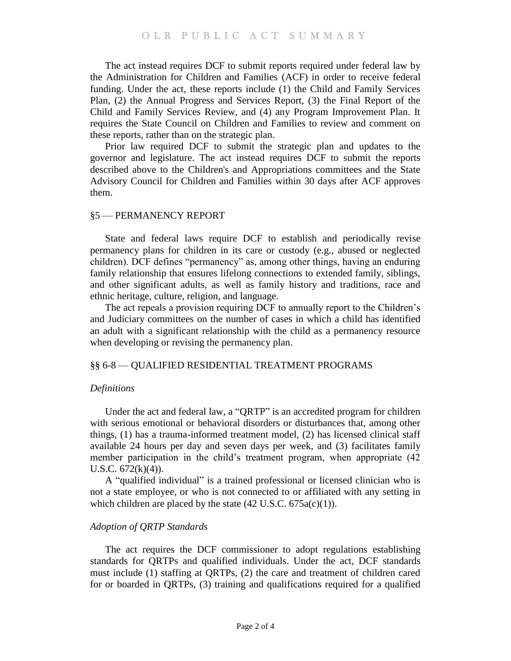The act instead requires DCF to submit reports required under federal law by the Administration for Children and Families (ACF) in order to receive federal funding. Under the act, these reports include (1) the Child and Family Services Plan, (2) the Annual Progress and Services Report, (3) the Final Report of the Child and Family Services Review, and (4) any Program Improvement Plan. It requires the State Council on Children and Families to review and comment on these reports, rather than on the strategic plan.

Prior law required DCF to submit the strategic plan and updates to the governor and legislature. The act instead requires DCF to submit the reports described above to the Children's and Appropriations committees and the State Advisory Council for Children and Families within 30 days after ACF approves them.

## §5 — PERMANENCY REPORT

State and federal laws require DCF to establish and periodically revise permanency plans for children in its care or custody (e.g., abused or neglected children). DCF defines "permanency" as, among other things, having an enduring family relationship that ensures lifelong connections to extended family, siblings, and other significant adults, as well as family history and traditions, race and ethnic heritage, culture, religion, and language.

The act repeals a provision requiring DCF to annually report to the Children's and Judiciary committees on the number of cases in which a child has identified an adult with a significant relationship with the child as a permanency resource when developing or revising the permanency plan.

### §§ 6-8 — QUALIFIED RESIDENTIAL TREATMENT PROGRAMS

## *Definitions*

Under the act and federal law, a "QRTP" is an accredited program for children with serious emotional or behavioral disorders or disturbances that, among other things, (1) has a trauma-informed treatment model, (2) has licensed clinical staff available 24 hours per day and seven days per week, and (3) facilitates family member participation in the child's treatment program, when appropriate (42 U.S.C. 672(k)(4)).

A "qualified individual" is a trained professional or licensed clinician who is not a state employee, or who is not connected to or affiliated with any setting in which children are placed by the state  $(42 \text{ U.S.C. } 675a(c)(1))$ .

### *Adoption of QRTP Standards*

The act requires the DCF commissioner to adopt regulations establishing standards for QRTPs and qualified individuals. Under the act, DCF standards must include (1) staffing at QRTPs, (2) the care and treatment of children cared for or boarded in QRTPs, (3) training and qualifications required for a qualified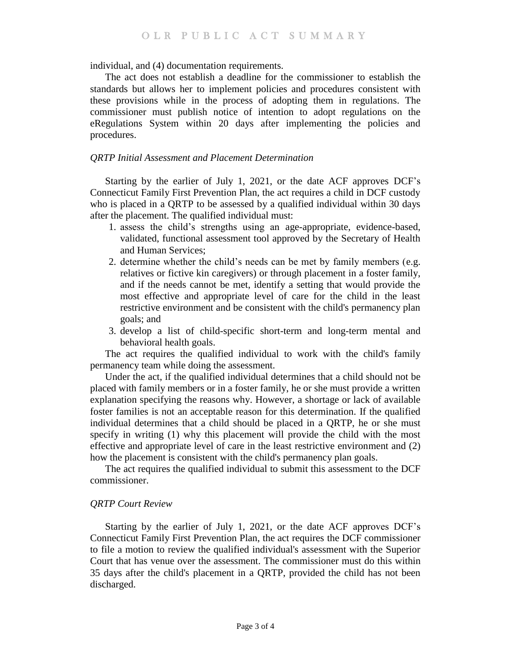individual, and (4) documentation requirements.

The act does not establish a deadline for the commissioner to establish the standards but allows her to implement policies and procedures consistent with these provisions while in the process of adopting them in regulations. The commissioner must publish notice of intention to adopt regulations on the eRegulations System within 20 days after implementing the policies and procedures.

#### *QRTP Initial Assessment and Placement Determination*

Starting by the earlier of July 1, 2021, or the date ACF approves DCF's Connecticut Family First Prevention Plan, the act requires a child in DCF custody who is placed in a QRTP to be assessed by a qualified individual within 30 days after the placement. The qualified individual must:

- 1. assess the child's strengths using an age-appropriate, evidence-based, validated, functional assessment tool approved by the Secretary of Health and Human Services;
- 2. determine whether the child's needs can be met by family members (e.g. relatives or fictive kin caregivers) or through placement in a foster family, and if the needs cannot be met, identify a setting that would provide the most effective and appropriate level of care for the child in the least restrictive environment and be consistent with the child's permanency plan goals; and
- 3. develop a list of child-specific short-term and long-term mental and behavioral health goals.

The act requires the qualified individual to work with the child's family permanency team while doing the assessment.

Under the act, if the qualified individual determines that a child should not be placed with family members or in a foster family, he or she must provide a written explanation specifying the reasons why. However, a shortage or lack of available foster families is not an acceptable reason for this determination. If the qualified individual determines that a child should be placed in a QRTP, he or she must specify in writing (1) why this placement will provide the child with the most effective and appropriate level of care in the least restrictive environment and (2) how the placement is consistent with the child's permanency plan goals.

The act requires the qualified individual to submit this assessment to the DCF commissioner.

#### *QRTP Court Review*

Starting by the earlier of July 1, 2021, or the date ACF approves DCF's Connecticut Family First Prevention Plan, the act requires the DCF commissioner to file a motion to review the qualified individual's assessment with the Superior Court that has venue over the assessment. The commissioner must do this within 35 days after the child's placement in a QRTP, provided the child has not been discharged.